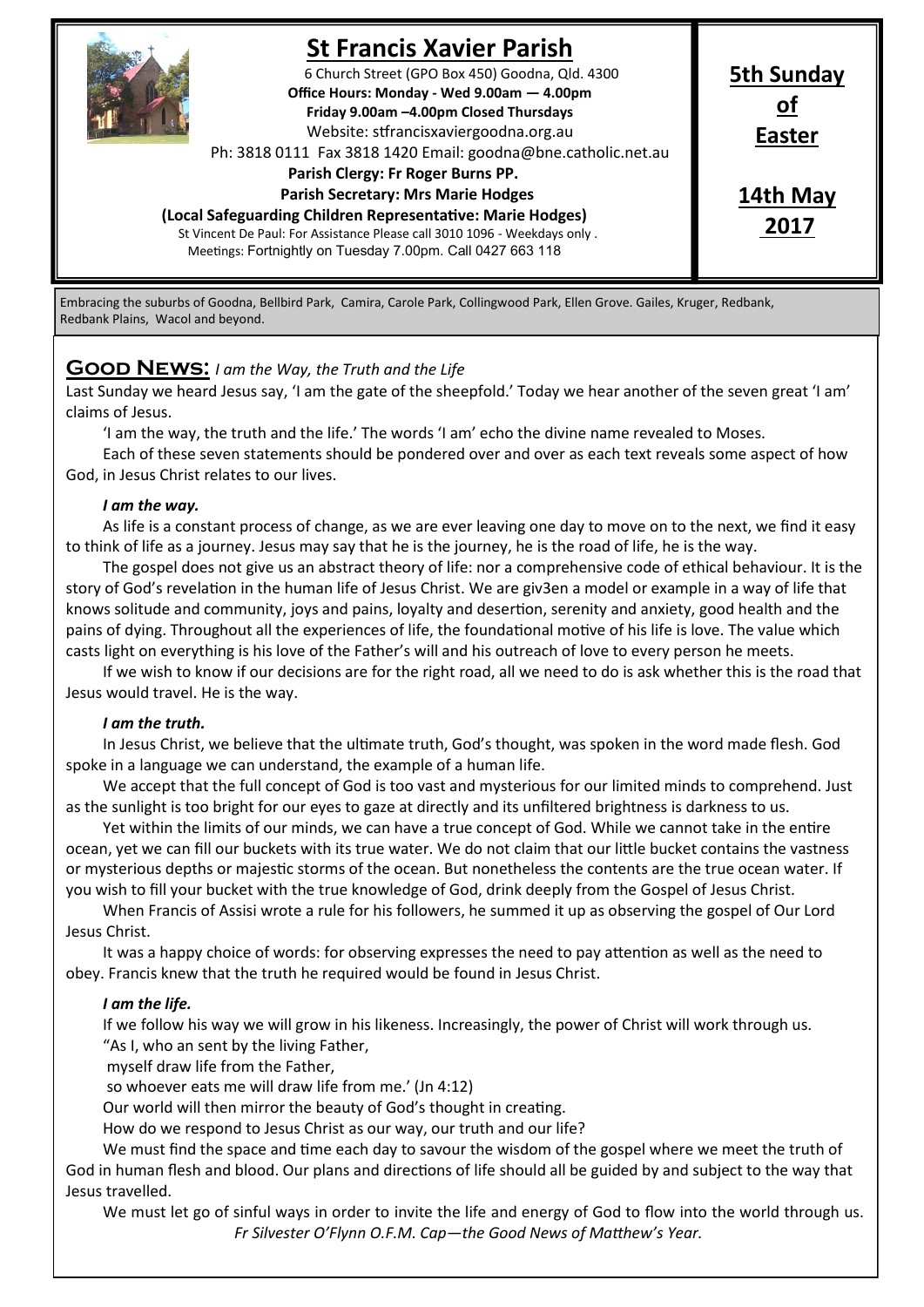

# **St Francis Xavier Parish**

6 Church Street (GPO Box 450) Goodna, Qld. 4300 **Office Hours: Monday - Wed 9.00am — 4.00pm Friday 9.00am –4.00pm Closed Thursdays**  Website: stfrancisxaviergoodna.org.au

Ph: 3818 0111 Fax 3818 1420 Email: goodna@bne.catholic.net.au

 **Parish Clergy: Fr Roger Burns PP.** 

#### **Parish Secretary: Mrs Marie Hodges**

**(Local Safeguarding Children Representative: Marie Hodges)**

St Vincent De Paul: For Assistance Please call 3010 1096 - Weekdays only . Meetings: Fortnightly on Tuesday 7.00pm. Call 0427 663 118

# **14th May 2017**

**5th Sunday of Easter**

Embracing the suburbs of Goodna, Bellbird Park, Camira, Carole Park, Collingwood Park, Ellen Grove. Gailes, Kruger, Redbank, Redbank Plains, Wacol and beyond.

# **Good News:** *I am the Way, the Truth and the Life*

Last Sunday we heard Jesus say, 'I am the gate of the sheepfold.' Today we hear another of the seven great 'I am' claims of Jesus.

'I am the way, the truth and the life.' The words 'I am' echo the divine name revealed to Moses.

Each of these seven statements should be pondered over and over as each text reveals some aspect of how God, in Jesus Christ relates to our lives.

### *I am the way.*

As life is a constant process of change, as we are ever leaving one day to move on to the next, we find it easy to think of life as a journey. Jesus may say that he is the journey, he is the road of life, he is the way.

The gospel does not give us an abstract theory of life: nor a comprehensive code of ethical behaviour. It is the story of God's revelation in the human life of Jesus Christ. We are giv3en a model or example in a way of life that knows solitude and community, joys and pains, loyalty and desertion, serenity and anxiety, good health and the pains of dying. Throughout all the experiences of life, the foundational motive of his life is love. The value which casts light on everything is his love of the Father's will and his outreach of love to every person he meets.

If we wish to know if our decisions are for the right road, all we need to do is ask whether this is the road that Jesus would travel. He is the way.

#### *I am the truth.*

In Jesus Christ, we believe that the ultimate truth, God's thought, was spoken in the word made flesh. God spoke in a language we can understand, the example of a human life.

We accept that the full concept of God is too vast and mysterious for our limited minds to comprehend. Just as the sunlight is too bright for our eyes to gaze at directly and its unfiltered brightness is darkness to us.

Yet within the limits of our minds, we can have a true concept of God. While we cannot take in the entire ocean, yet we can fill our buckets with its true water. We do not claim that our little bucket contains the vastness or mysterious depths or majestic storms of the ocean. But nonetheless the contents are the true ocean water. If you wish to fill your bucket with the true knowledge of God, drink deeply from the Gospel of Jesus Christ.

When Francis of Assisi wrote a rule for his followers, he summed it up as observing the gospel of Our Lord Jesus Christ.

It was a happy choice of words: for observing expresses the need to pay attention as well as the need to obey. Francis knew that the truth he required would be found in Jesus Christ.

## *I am the life.*

If we follow his way we will grow in his likeness. Increasingly, the power of Christ will work through us. "As I, who an sent by the living Father,

myself draw life from the Father,

so whoever eats me will draw life from me.' (Jn 4:12)

Our world will then mirror the beauty of God's thought in creating.

How do we respond to Jesus Christ as our way, our truth and our life?

We must find the space and time each day to savour the wisdom of the gospel where we meet the truth of God in human flesh and blood. Our plans and directions of life should all be guided by and subject to the way that Jesus travelled.

We must let go of sinful ways in order to invite the life and energy of God to flow into the world through us. *Fr Silvester O'Flynn O.F.M. Cap—the Good News of Matthew's Year.*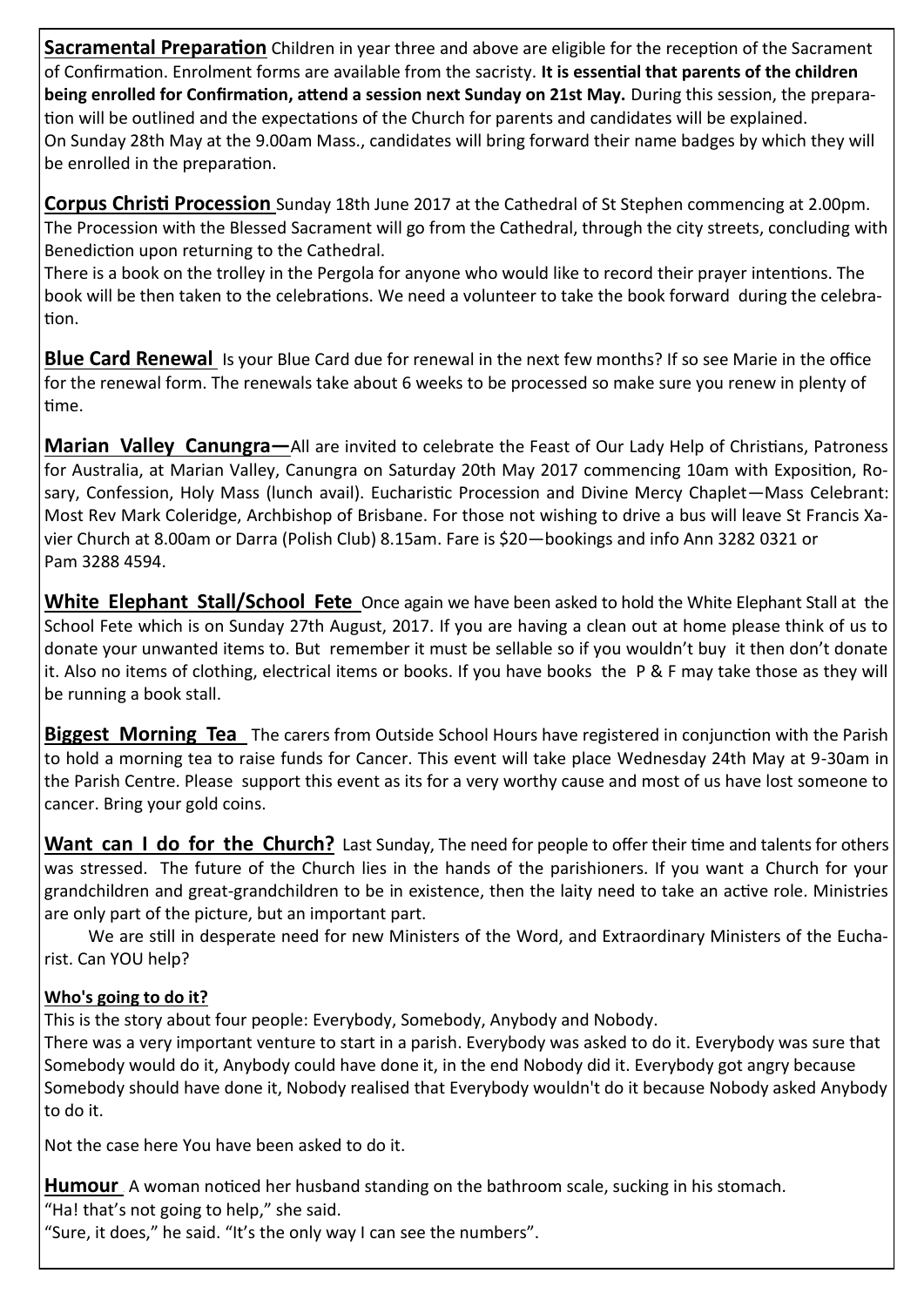**Sacramental Preparation** Children in year three and above are eligible for the reception of the Sacrament of Confirmation. Enrolment forms are available from the sacristy. **It is essential that parents of the children being enrolled for Confirmation, attend a session next Sunday on 21st May.** During this session, the preparation will be outlined and the expectations of the Church for parents and candidates will be explained. On Sunday 28th May at the 9.00am Mass., candidates will bring forward their name badges by which they will be enrolled in the preparation.

**Corpus Christi Procession** Sunday 18th June 2017 at the Cathedral of St Stephen commencing at 2.00pm. The Procession with the Blessed Sacrament will go from the Cathedral, through the city streets, concluding with Benediction upon returning to the Cathedral.

There is a book on the trolley in the Pergola for anyone who would like to record their prayer intentions. The book will be then taken to the celebrations. We need a volunteer to take the book forward during the celebration.

**Blue Card Renewal** Is your Blue Card due for renewal in the next few months? If so see Marie in the office for the renewal form. The renewals take about 6 weeks to be processed so make sure you renew in plenty of time.

**Marian Valley Canungra—**All are invited to celebrate the Feast of Our Lady Help of Christians, Patroness for Australia, at Marian Valley, Canungra on Saturday 20th May 2017 commencing 10am with Exposition, Rosary, Confession, Holy Mass (lunch avail). Eucharistic Procession and Divine Mercy Chaplet—Mass Celebrant: Most Rev Mark Coleridge, Archbishop of Brisbane. For those not wishing to drive a bus will leave St Francis Xavier Church at 8.00am or Darra (Polish Club) 8.15am. Fare is \$20—bookings and info Ann 3282 0321 or Pam 3288 4594.

**White Elephant Stall/School Fete** Once again we have been asked to hold the White Elephant Stall at the School Fete which is on Sunday 27th August, 2017. If you are having a clean out at home please think of us to donate your unwanted items to. But remember it must be sellable so if you wouldn't buy it then don't donate it. Also no items of clothing, electrical items or books. If you have books the P & F may take those as they will be running a book stall.

**Biggest Morning Tea** The carers from Outside School Hours have registered in conjunction with the Parish to hold a morning tea to raise funds for Cancer. This event will take place Wednesday 24th May at 9-30am in the Parish Centre. Please support this event as its for a very worthy cause and most of us have lost someone to cancer. Bring your gold coins.

Want can I do for the Church? Last Sunday, The need for people to offer their time and talents for others was stressed. The future of the Church lies in the hands of the parishioners. If you want a Church for your grandchildren and great-grandchildren to be in existence, then the laity need to take an active role. Ministries are only part of the picture, but an important part.

We are still in desperate need for new Ministers of the Word, and Extraordinary Ministers of the Eucharist. Can YOU help?

# **Who's going to do it?**

This is the story about four people: Everybody, Somebody, Anybody and Nobody.

There was a very important venture to start in a parish. Everybody was asked to do it. Everybody was sure that Somebody would do it, Anybody could have done it, in the end Nobody did it. Everybody got angry because Somebody should have done it, Nobody realised that Everybody wouldn't do it because Nobody asked Anybody to do it.

Not the case here You have been asked to do it.

Humour A woman noticed her husband standing on the bathroom scale, sucking in his stomach. "Ha! that's not going to help," she said.

"Sure, it does," he said. "It's the only way I can see the numbers".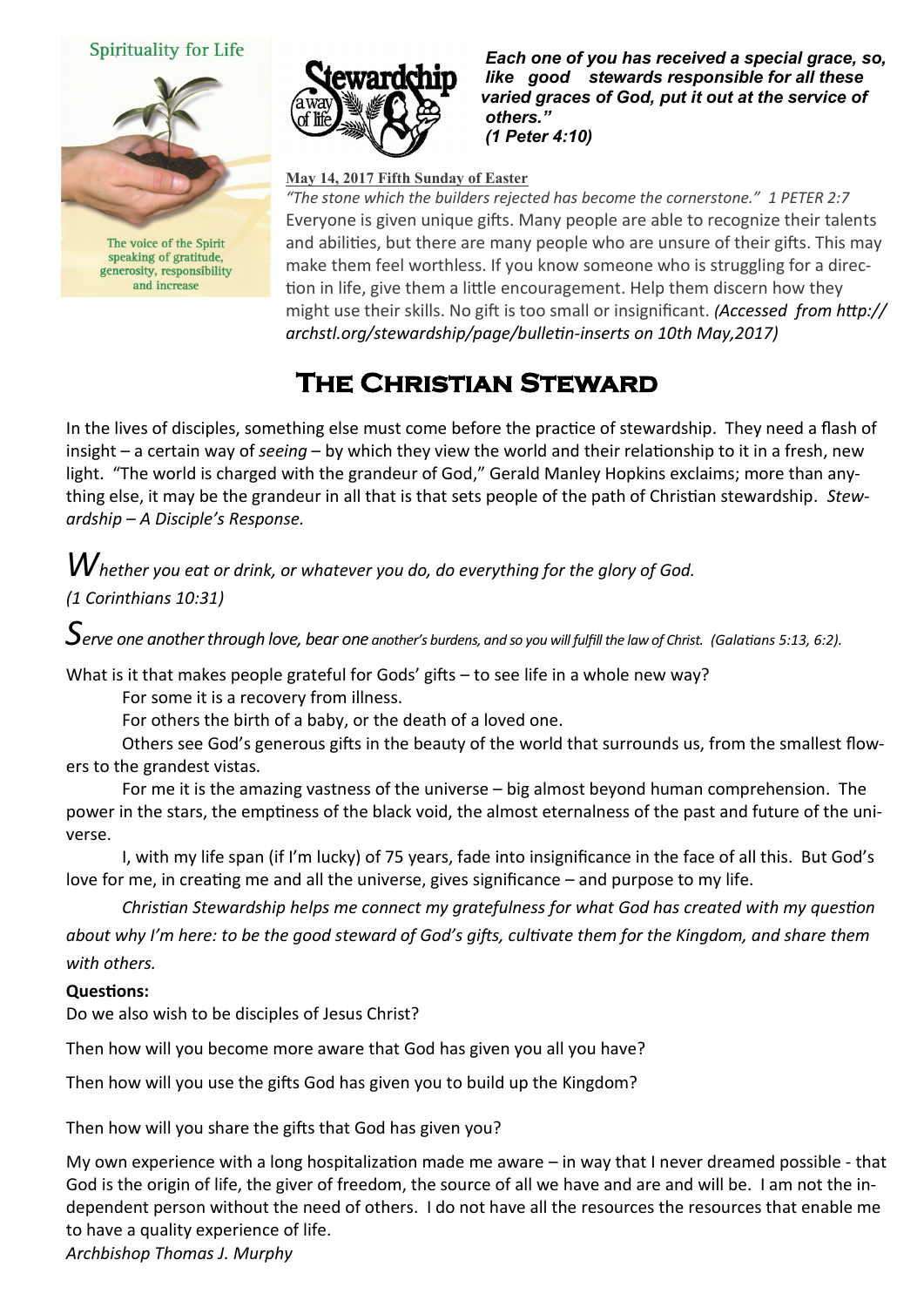# Spirituality for Life



generosity, responsibility and increase



 *Each one of you has received a special grace, so, like good stewards responsible for all these varied graces of God, put it out at the service of others." (1 Peter 4:10)* 

## **May 14, 2017 Fifth Sunday of Easter**

*"The stone which the builders rejected has become the cornerstone." 1 PETER 2:7* Everyone is given unique gifts. Many people are able to recognize their talents and abilities, but there are many people who are unsure of their gifts. This may make them feel worthless. If you know someone who is struggling for a direction in life, give them a little encouragement. Help them discern how they might use their skills. No gift is too small or insignificant. *(Accessed from http:// archstl.org/stewardship/page/bulletin-inserts on 10th May,2017)*

# **The Christian Steward**

In the lives of disciples, something else must come before the practice of stewardship. They need a flash of insight – a certain way of *seeing* – by which they view the world and their relationship to it in a fresh, new light. "The world is charged with the grandeur of God," Gerald Manley Hopkins exclaims; more than anything else, it may be the grandeur in all that is that sets people of the path of Christian stewardship*. Stewardship – A Disciple's Response.*

# *Whether you eat or drink, or whatever you do, do everything for the glory of God.*

# *(1 Corinthians 10:31)*

*Serve one another through love, bear one another's burdens, and so you will fulfill the law of Christ. (Galatians 5:13, 6:2).*

What is it that makes people grateful for Gods' gifts – to see life in a whole new way?

For some it is a recovery from illness.

For others the birth of a baby, or the death of a loved one.

Others see God's generous gifts in the beauty of the world that surrounds us, from the smallest flowers to the grandest vistas.

For me it is the amazing vastness of the universe – big almost beyond human comprehension. The power in the stars, the emptiness of the black void, the almost eternalness of the past and future of the universe.

I, with my life span (if I'm lucky) of 75 years, fade into insignificance in the face of all this. But God's love for me, in creating me and all the universe, gives significance – and purpose to my life.

*Christian Stewardship helps me connect my gratefulness for what God has created with my question about why I'm here: to be the good steward of God's gifts, cultivate them for the Kingdom, and share them with others.*

# **Questions:**

Do we also wish to be disciples of Jesus Christ?

Then how will you become more aware that God has given you all you have?

Then how will you use the gifts God has given you to build up the Kingdom?

Then how will you share the gifts that God has given you?

My own experience with a long hospitalization made me aware – in way that I never dreamed possible - that God is the origin of life, the giver of freedom, the source of all we have and are and will be. I am not the independent person without the need of others. I do not have all the resources the resources that enable me to have a quality experience of life.

*Archbishop Thomas J. Murphy*